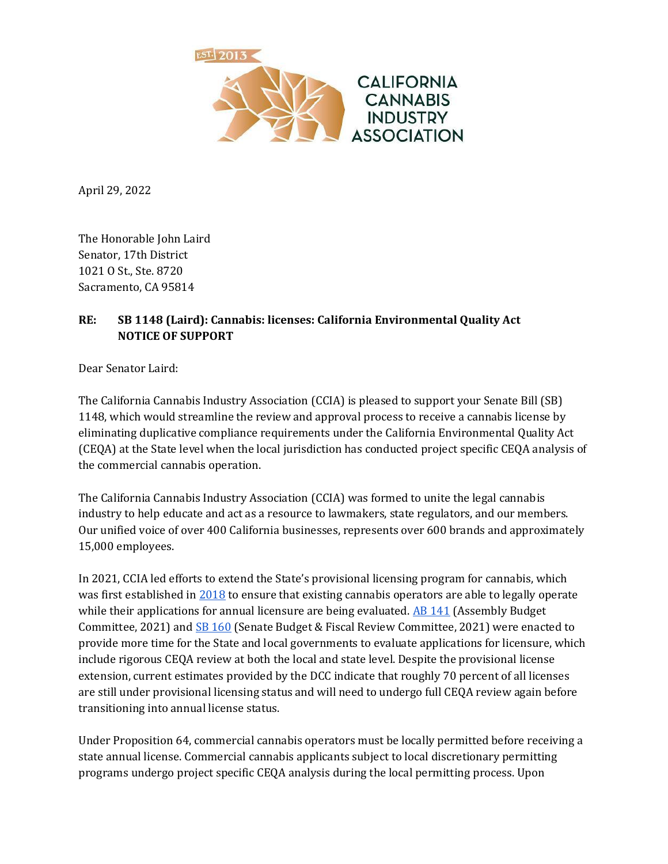

April 29, 2022

The Honorable John Laird Senator, 17th District 1021 O St., Ste. 8720 Sacramento, CA 95814

## **RE: SB 1148 (Laird): Cannabis: licenses: California Environmental Quality Act NOTICE OF SUPPORT**

Dear Senator Laird:

The California Cannabis Industry Association (CCIA) is pleased to support your Senate Bill (SB) 1148, which would streamline the review and approval process to receive a cannabis license by eliminating duplicative compliance requirements under the California Environmental Quality Act (CEQA) at the State level when the local jurisdiction has conducted project specific CEQA analysis of the commercial cannabis operation.

The California Cannabis Industry Association (CCIA) was formed to unite the legal cannabis industry to help educate and act as a resource to lawmakers, state regulators, and our members. Our unified voice of over 400 California businesses, represents over 600 brands and approximately 15,000 employees.

In 2021, CCIA led efforts to extend the State's provisional licensing program for cannabis, which was first established i[n 2018](https://leginfo.legislature.ca.gov/faces/billNavClient.xhtml?bill_id=201720180SB1459) to ensure that existing cannabis operators are able to legally operate while their applications for annual licensure are being evaluated.  $\overline{AB}$  141 (Assembly Budget Committee, 2021) an[d SB 160](https://leginfo.legislature.ca.gov/faces/billNavClient.xhtml?bill_id=202120220SB160) (Senate Budget & Fiscal Review Committee, 2021) were enacted to provide more time for the State and local governments to evaluate applications for licensure, which include rigorous CEQA review at both the local and state level. Despite the provisional license extension, current estimates provided by the DCC indicate that roughly 70 percent of all licenses are still under provisional licensing status and will need to undergo full CEQA review again before transitioning into annual license status.

Under Proposition 64, commercial cannabis operators must be locally permitted before receiving a state annual license. Commercial cannabis applicants subject to local discretionary permitting programs undergo project specific CEQA analysis during the local permitting process. Upon